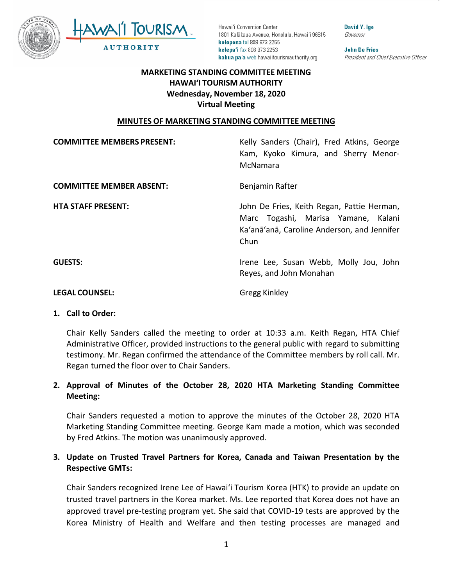



David Y. Ige Governor

**John De Fries** President and Chief Executive Officer

# **MARKETING STANDING COMMITTEE MEETING HAWAI'I TOURISM AUTHORITY Wednesday, November 18, 2020 Virtual Meeting**

#### **MINUTES OF MARKETING STANDING COMMITTEE MEETING**

| <b>COMMITTEE MEMBERS PRESENT:</b> | Kelly Sanders (Chair), Fred Atkins, George<br>Kam, Kyoko Kimura, and Sherry Menor-<br>McNamara                                           |
|-----------------------------------|------------------------------------------------------------------------------------------------------------------------------------------|
| <b>COMMITTEE MEMBER ABSENT:</b>   | Benjamin Rafter                                                                                                                          |
| <b>HTA STAFF PRESENT:</b>         | John De Fries, Keith Regan, Pattie Herman,<br>Marc Togashi, Marisa Yamane, Kalani<br>Ka'anā'anā, Caroline Anderson, and Jennifer<br>Chun |
| <b>GUESTS:</b>                    | Irene Lee, Susan Webb, Molly Jou, John<br>Reyes, and John Monahan                                                                        |

#### **LEGAL COUNSEL:** Gregg Kinkley

#### **1. Call to Order:**

Chair Kelly Sanders called the meeting to order at 10:33 a.m. Keith Regan, HTA Chief Administrative Officer, provided instructions to the general public with regard to submitting testimony. Mr. Regan confirmed the attendance of the Committee members by roll call. Mr. Regan turned the floor over to Chair Sanders.

### **2. Approval of Minutes of the October 28, 2020 HTA Marketing Standing Committee Meeting:**

Chair Sanders requested a motion to approve the minutes of the October 28, 2020 HTA Marketing Standing Committee meeting. George Kam made a motion, which was seconded by Fred Atkins. The motion was unanimously approved.

# **3. Update on Trusted Travel Partners for Korea, Canada and Taiwan Presentation by the Respective GMTs:**

Chair Sanders recognized Irene Lee of Hawai'i Tourism Korea (HTK) to provide an update on trusted travel partners in the Korea market. Ms. Lee reported that Korea does not have an approved travel pre-testing program yet. She said that COVID-19 tests are approved by the Korea Ministry of Health and Welfare and then testing processes are managed and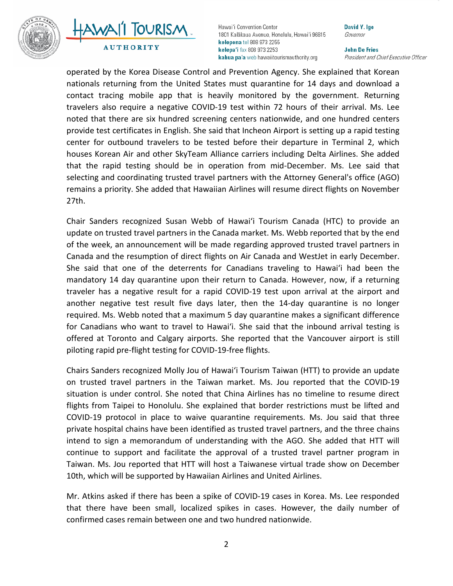

# AWAII TOURISM **AUTHORITY**

Hawai'i Convention Center 1801 Kalākaua Avenue, Honolulu, Hawai'i 96815 kelepona tel 808 973 2255 kelepa'i fax 808 973 2253 kahua pa'a web hawaiitourismauthority.org

David Y. Ige Governor

**John De Fries** President and Chief Executive Officer

operated by the Korea Disease Control and Prevention Agency. She explained that Korean nationals returning from the United States must quarantine for 14 days and download a contact tracing mobile app that is heavily monitored by the government. Returning travelers also require a negative COVID-19 test within 72 hours of their arrival. Ms. Lee noted that there are six hundred screening centers nationwide, and one hundred centers provide test certificates in English. She said that Incheon Airport is setting up a rapid testing center for outbound travelers to be tested before their departure in Terminal 2, which houses Korean Air and other SkyTeam Alliance carriers including Delta Airlines. She added that the rapid testing should be in operation from mid-December. Ms. Lee said that selecting and coordinating trusted travel partners with the Attorney General's office (AGO) remains a priority. She added that Hawaiian Airlines will resume direct flights on November 27th.

Chair Sanders recognized Susan Webb of Hawai'i Tourism Canada (HTC) to provide an update on trusted travel partners in the Canada market. Ms. Webb reported that by the end of the week, an announcement will be made regarding approved trusted travel partners in Canada and the resumption of direct flights on Air Canada and WestJet in early December. She said that one of the deterrents for Canadians traveling to Hawai'i had been the mandatory 14 day quarantine upon their return to Canada. However, now, if a returning traveler has a negative result for a rapid COVID-19 test upon arrival at the airport and another negative test result five days later, then the 14-day quarantine is no longer required. Ms. Webb noted that a maximum 5 day quarantine makes a significant difference for Canadians who want to travel to Hawai'i. She said that the inbound arrival testing is offered at Toronto and Calgary airports. She reported that the Vancouver airport is still piloting rapid pre-flight testing for COVID-19-free flights.

Chairs Sanders recognized Molly Jou of Hawai'i Tourism Taiwan (HTT) to provide an update on trusted travel partners in the Taiwan market. Ms. Jou reported that the COVID-19 situation is under control. She noted that China Airlines has no timeline to resume direct flights from Taipei to Honolulu. She explained that border restrictions must be lifted and COVID-19 protocol in place to waive quarantine requirements. Ms. Jou said that three private hospital chains have been identified as trusted travel partners, and the three chains intend to sign a memorandum of understanding with the AGO. She added that HTT will continue to support and facilitate the approval of a trusted travel partner program in Taiwan. Ms. Jou reported that HTT will host a Taiwanese virtual trade show on December 10th, which will be supported by Hawaiian Airlines and United Airlines.

Mr. Atkins asked if there has been a spike of COVID-19 cases in Korea. Ms. Lee responded that there have been small, localized spikes in cases. However, the daily number of confirmed cases remain between one and two hundred nationwide.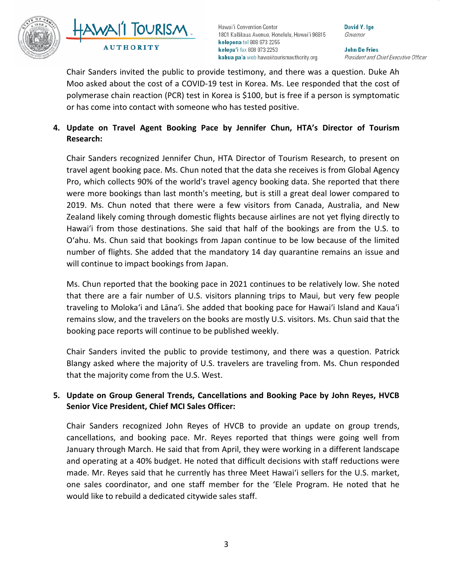



David Y. Ige Governor

**John De Fries** President and Chief Executive Officer

Chair Sanders invited the public to provide testimony, and there was a question. Duke Ah Moo asked about the cost of a COVID-19 test in Korea. Ms. Lee responded that the cost of polymerase chain reaction (PCR) test in Korea is \$100, but is free if a person is symptomatic or has come into contact with someone who has tested positive.

# **4. Update on Travel Agent Booking Pace by Jennifer Chun, HTA's Director of Tourism Research:**

Chair Sanders recognized Jennifer Chun, HTA Director of Tourism Research, to present on travel agent booking pace. Ms. Chun noted that the data she receives is from Global Agency Pro, which collects 90% of the world's travel agency booking data. She reported that there were more bookings than last month's meeting, but is still a great deal lower compared to 2019. Ms. Chun noted that there were a few visitors from Canada, Australia, and New Zealand likely coming through domestic flights because airlines are not yet flying directly to Hawai'i from those destinations. She said that half of the bookings are from the U.S. to Oʻahu. Ms. Chun said that bookings from Japan continue to be low because of the limited number of flights. She added that the mandatory 14 day quarantine remains an issue and will continue to impact bookings from Japan.

Ms. Chun reported that the booking pace in 2021 continues to be relatively low. She noted that there are a fair number of U.S. visitors planning trips to Maui, but very few people traveling to Moloka'i and Lāna'i. She added that booking pace for Hawai'i Island and Kaua'i remains slow, and the travelers on the books are mostly U.S. visitors. Ms. Chun said that the booking pace reports will continue to be published weekly.

Chair Sanders invited the public to provide testimony, and there was a question. Patrick Blangy asked where the majority of U.S. travelers are traveling from. Ms. Chun responded that the majority come from the U.S. West.

# **5. Update on Group General Trends, Cancellations and Booking Pace by John Reyes, HVCB Senior Vice President, Chief MCI Sales Officer:**

Chair Sanders recognized John Reyes of HVCB to provide an update on group trends, cancellations, and booking pace. Mr. Reyes reported that things were going well from January through March. He said that from April, they were working in a different landscape and operating at a 40% budget. He noted that difficult decisions with staff reductions were made. Mr. Reyes said that he currently has three Meet Hawai'i sellers for the U.S. market, one sales coordinator, and one staff member for the 'Elele Program. He noted that he would like to rebuild a dedicated citywide sales staff.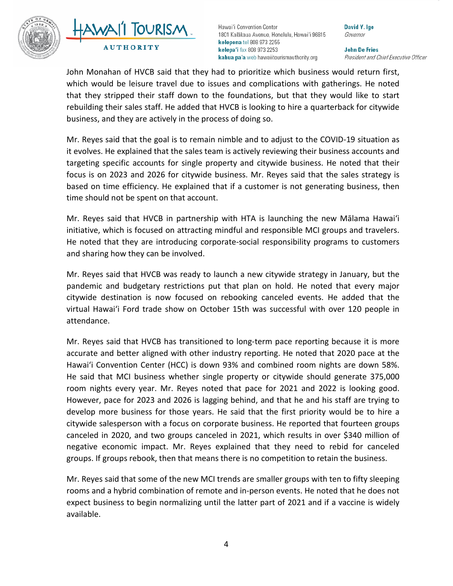



David Y. Ige Governor

**John De Fries** President and Chief Executive Officer

John Monahan of HVCB said that they had to prioritize which business would return first, which would be leisure travel due to issues and complications with gatherings. He noted that they stripped their staff down to the foundations, but that they would like to start rebuilding their sales staff. He added that HVCB is looking to hire a quarterback for citywide business, and they are actively in the process of doing so.

Mr. Reyes said that the goal is to remain nimble and to adjust to the COVID-19 situation as it evolves. He explained that the sales team is actively reviewing their business accounts and targeting specific accounts for single property and citywide business. He noted that their focus is on 2023 and 2026 for citywide business. Mr. Reyes said that the sales strategy is based on time efficiency. He explained that if a customer is not generating business, then time should not be spent on that account.

Mr. Reyes said that HVCB in partnership with HTA is launching the new Mālama Hawai'i initiative, which is focused on attracting mindful and responsible MCI groups and travelers. He noted that they are introducing corporate-social responsibility programs to customers and sharing how they can be involved.

Mr. Reyes said that HVCB was ready to launch a new citywide strategy in January, but the pandemic and budgetary restrictions put that plan on hold. He noted that every major citywide destination is now focused on rebooking canceled events. He added that the virtual Hawai'i Ford trade show on October 15th was successful with over 120 people in attendance.

Mr. Reyes said that HVCB has transitioned to long-term pace reporting because it is more accurate and better aligned with other industry reporting. He noted that 2020 pace at the Hawai'i Convention Center (HCC) is down 93% and combined room nights are down 58%. He said that MCI business whether single property or citywide should generate 375,000 room nights every year. Mr. Reyes noted that pace for 2021 and 2022 is looking good. However, pace for 2023 and 2026 is lagging behind, and that he and his staff are trying to develop more business for those years. He said that the first priority would be to hire a citywide salesperson with a focus on corporate business. He reported that fourteen groups canceled in 2020, and two groups canceled in 2021, which results in over \$340 million of negative economic impact. Mr. Reyes explained that they need to rebid for canceled groups. If groups rebook, then that means there is no competition to retain the business.

Mr. Reyes said that some of the new MCI trends are smaller groups with ten to fifty sleeping rooms and a hybrid combination of remote and in-person events. He noted that he does not expect business to begin normalizing until the latter part of 2021 and if a vaccine is widely available.